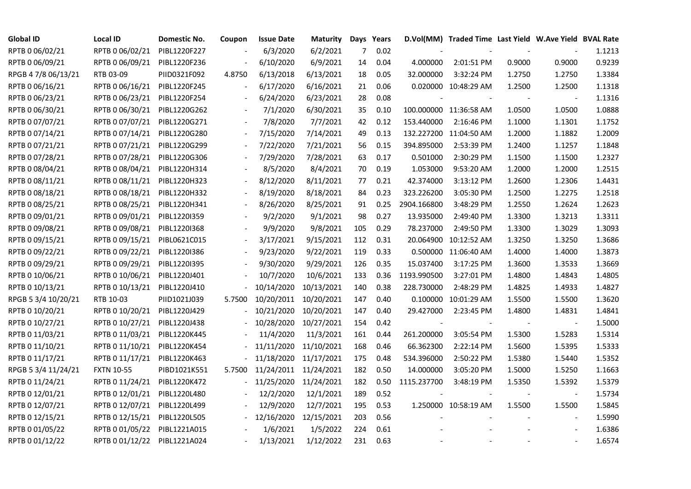| <b>Global ID</b>    | <b>Local ID</b>   | Domestic No. | Coupon                   | <b>Issue Date</b>     | <b>Maturity</b> |                | Days Years |             | D.Vol(MM) Traded Time Last Yield W.Ave Yield BVAL Rate |        |                          |        |
|---------------------|-------------------|--------------|--------------------------|-----------------------|-----------------|----------------|------------|-------------|--------------------------------------------------------|--------|--------------------------|--------|
| RPTB 0 06/02/21     | RPTB 0 06/02/21   | PIBL1220F227 |                          | 6/3/2020              | 6/2/2021        | $\overline{7}$ | 0.02       |             |                                                        |        |                          | 1.1213 |
| RPTB 0 06/09/21     | RPTB 0 06/09/21   | PIBL1220F236 |                          | 6/10/2020             | 6/9/2021        | 14             | 0.04       | 4.000000    | 2:01:51 PM                                             | 0.9000 | 0.9000                   | 0.9239 |
| RPGB 4 7/8 06/13/21 | RTB 03-09         | PIID0321F092 | 4.8750                   | 6/13/2018             | 6/13/2021       | 18             | 0.05       | 32.000000   | 3:32:24 PM                                             | 1.2750 | 1.2750                   | 1.3384 |
| RPTB 0 06/16/21     | RPTB 0 06/16/21   | PIBL1220F245 | $\overline{\phantom{a}}$ | 6/17/2020             | 6/16/2021       | 21             | 0.06       |             | 0.020000 10:48:29 AM                                   | 1.2500 | 1.2500                   | 1.1318 |
| RPTB 0 06/23/21     | RPTB 0 06/23/21   | PIBL1220F254 |                          | 6/24/2020             | 6/23/2021       | 28             | 0.08       |             |                                                        |        |                          | 1.1316 |
| RPTB 0 06/30/21     | RPTB 0 06/30/21   | PIBL1220G262 |                          | 7/1/2020              | 6/30/2021       | 35             | 0.10       |             | 100.000000 11:36:58 AM                                 | 1.0500 | 1.0500                   | 1.0888 |
| RPTB 0 07/07/21     | RPTB 0 07/07/21   | PIBL1220G271 |                          | 7/8/2020              | 7/7/2021        | 42             | 0.12       | 153.440000  | 2:16:46 PM                                             | 1.1000 | 1.1301                   | 1.1752 |
| RPTB 0 07/14/21     | RPTB 0 07/14/21   | PIBL1220G280 |                          | 7/15/2020             | 7/14/2021       | 49             | 0.13       |             | 132.227200 11:04:50 AM                                 | 1.2000 | 1.1882                   | 1.2009 |
| RPTB 0 07/21/21     | RPTB 0 07/21/21   | PIBL1220G299 |                          | 7/22/2020             | 7/21/2021       | 56             | 0.15       | 394.895000  | 2:53:39 PM                                             | 1.2400 | 1.1257                   | 1.1848 |
| RPTB 0 07/28/21     | RPTB 0 07/28/21   | PIBL1220G306 |                          | 7/29/2020             | 7/28/2021       | 63             | 0.17       | 0.501000    | 2:30:29 PM                                             | 1.1500 | 1.1500                   | 1.2327 |
| RPTB 0 08/04/21     | RPTB 0 08/04/21   | PIBL1220H314 | $\overline{\phantom{a}}$ | 8/5/2020              | 8/4/2021        | 70             | 0.19       | 1.053000    | 9:53:20 AM                                             | 1.2000 | 1.2000                   | 1.2515 |
| RPTB 0 08/11/21     | RPTB 0 08/11/21   | PIBL1220H323 |                          | 8/12/2020             | 8/11/2021       | 77             | 0.21       | 42.374000   | 3:13:12 PM                                             | 1.2600 | 1.2306                   | 1.4431 |
| RPTB 0 08/18/21     | RPTB 0 08/18/21   | PIBL1220H332 |                          | 8/19/2020             | 8/18/2021       | 84             | 0.23       | 323.226200  | 3:05:30 PM                                             | 1.2500 | 1.2275                   | 1.2518 |
| RPTB 0 08/25/21     | RPTB 0 08/25/21   | PIBL1220H341 |                          | 8/26/2020             | 8/25/2021       | 91             | 0.25       | 2904.166800 | 3:48:29 PM                                             | 1.2550 | 1.2624                   | 1.2623 |
| RPTB 0 09/01/21     | RPTB 0 09/01/21   | PIBL1220I359 |                          | 9/2/2020              | 9/1/2021        | 98             | 0.27       | 13.935000   | 2:49:40 PM                                             | 1.3300 | 1.3213                   | 1.3311 |
| RPTB 0 09/08/21     | RPTB 0 09/08/21   | PIBL1220I368 |                          | 9/9/2020              | 9/8/2021        | 105            | 0.29       | 78.237000   | 2:49:50 PM                                             | 1.3300 | 1.3029                   | 1.3093 |
| RPTB 0 09/15/21     | RPTB 0 09/15/21   | PIBL0621C015 | $\blacksquare$           | 3/17/2021             | 9/15/2021       | 112            | 0.31       |             | 20.064900 10:12:52 AM                                  | 1.3250 | 1.3250                   | 1.3686 |
| RPTB 0 09/22/21     | RPTB 0 09/22/21   | PIBL1220I386 | $\blacksquare$           | 9/23/2020             | 9/22/2021       | 119            | 0.33       |             | 0.500000 11:06:40 AM                                   | 1.4000 | 1.4000                   | 1.3873 |
| RPTB 0 09/29/21     | RPTB 0 09/29/21   | PIBL1220I395 |                          | 9/30/2020             | 9/29/2021       | 126            | 0.35       | 15.037400   | 3:17:25 PM                                             | 1.3600 | 1.3533                   | 1.3669 |
| RPTB 0 10/06/21     | RPTB 0 10/06/21   | PIBL1220J401 |                          | 10/7/2020             | 10/6/2021       | 133            | 0.36       | 1193.990500 | 3:27:01 PM                                             | 1.4800 | 1.4843                   | 1.4805 |
| RPTB 0 10/13/21     | RPTB 0 10/13/21   | PIBL1220J410 |                          | 10/14/2020            | 10/13/2021      | 140            | 0.38       | 228.730000  | 2:48:29 PM                                             | 1.4825 | 1.4933                   | 1.4827 |
| RPGB 5 3/4 10/20/21 | RTB 10-03         | PIID1021J039 | 5.7500                   | 10/20/2011            | 10/20/2021      | 147            | 0.40       |             | 0.100000 10:01:29 AM                                   | 1.5500 | 1.5500                   | 1.3620 |
| RPTB 0 10/20/21     | RPTB 0 10/20/21   | PIBL1220J429 |                          | 10/21/2020            | 10/20/2021      | 147            | 0.40       | 29.427000   | 2:23:45 PM                                             | 1.4800 | 1.4831                   | 1.4841 |
| RPTB 0 10/27/21     | RPTB 0 10/27/21   | PIBL1220J438 |                          | 10/28/2020            | 10/27/2021      | 154            | 0.42       |             |                                                        |        |                          | 1.5000 |
| RPTB 0 11/03/21     | RPTB 0 11/03/21   | PIBL1220K445 |                          | 11/4/2020             | 11/3/2021       | 161            | 0.44       | 261.200000  | 3:05:54 PM                                             | 1.5300 | 1.5283                   | 1.5314 |
| RPTB 0 11/10/21     | RPTB 0 11/10/21   | PIBL1220K454 |                          | 11/11/2020            | 11/10/2021      | 168            | 0.46       | 66.362300   | 2:22:14 PM                                             | 1.5600 | 1.5395                   | 1.5333 |
| RPTB 0 11/17/21     | RPTB 0 11/17/21   | PIBL1220K463 |                          | 11/18/2020            | 11/17/2021      | 175            | 0.48       | 534.396000  | 2:50:22 PM                                             | 1.5380 | 1.5440                   | 1.5352 |
| RPGB 5 3/4 11/24/21 | <b>FXTN 10-55</b> | PIBD1021K551 | 5.7500                   | 11/24/2011 11/24/2021 |                 | 182            | 0.50       | 14.000000   | 3:05:20 PM                                             | 1.5000 | 1.5250                   | 1.1663 |
| RPTB 0 11/24/21     | RPTB 0 11/24/21   | PIBL1220K472 |                          | 11/25/2020            | 11/24/2021      | 182            | 0.50       | 1115.237700 | 3:48:19 PM                                             | 1.5350 | 1.5392                   | 1.5379 |
| RPTB 0 12/01/21     | RPTB 0 12/01/21   | PIBL1220L480 |                          | 12/2/2020             | 12/1/2021       | 189            | 0.52       |             |                                                        |        |                          | 1.5734 |
| RPTB 0 12/07/21     | RPTB 0 12/07/21   | PIBL1220L499 |                          | 12/9/2020             | 12/7/2021       | 195            | 0.53       |             | 1.250000 10:58:19 AM                                   | 1.5500 | 1.5500                   | 1.5845 |
| RPTB 0 12/15/21     | RPTB 0 12/15/21   | PIBL1220L505 |                          | 12/16/2020            | 12/15/2021      | 203            | 0.56       |             |                                                        |        | $\overline{\phantom{a}}$ | 1.5990 |
| RPTB 0 01/05/22     | RPTB 0 01/05/22   | PIBL1221A015 |                          | 1/6/2021              | 1/5/2022        | 224            | 0.61       |             |                                                        |        |                          | 1.6386 |
| RPTB 0 01/12/22     | RPTB 0 01/12/22   | PIBL1221A024 |                          | 1/13/2021             | 1/12/2022       | 231            | 0.63       |             |                                                        |        |                          | 1.6574 |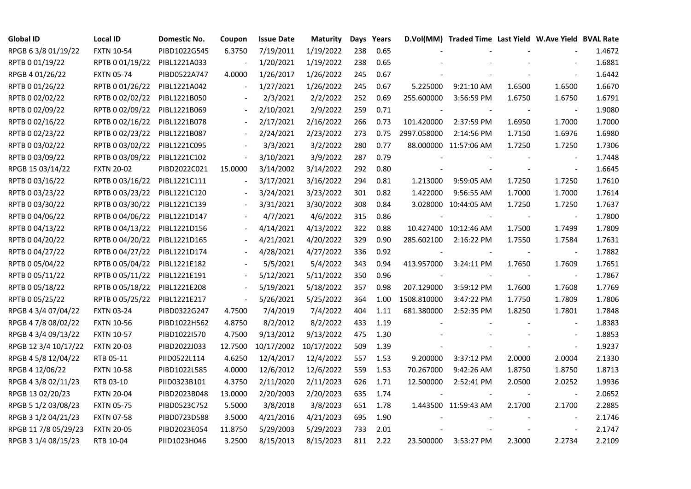| <b>Global ID</b>     | <b>Local ID</b>   | Domestic No. | Coupon                   | <b>Issue Date</b> | Maturity   |     | Days Years |                          | D.Vol(MM) Traded Time Last Yield W.Ave Yield BVAL Rate |        |                |        |
|----------------------|-------------------|--------------|--------------------------|-------------------|------------|-----|------------|--------------------------|--------------------------------------------------------|--------|----------------|--------|
| RPGB 63/8 01/19/22   | <b>FXTN 10-54</b> | PIBD1022G545 | 6.3750                   | 7/19/2011         | 1/19/2022  | 238 | 0.65       |                          |                                                        |        |                | 1.4672 |
| RPTB 0 01/19/22      | RPTB 0 01/19/22   | PIBL1221A033 | $\overline{a}$           | 1/20/2021         | 1/19/2022  | 238 | 0.65       |                          |                                                        |        |                | 1.6881 |
| RPGB 4 01/26/22      | <b>FXTN 05-74</b> | PIBD0522A747 | 4.0000                   | 1/26/2017         | 1/26/2022  | 245 | 0.67       |                          |                                                        |        |                | 1.6442 |
| RPTB 0 01/26/22      | RPTB 0 01/26/22   | PIBL1221A042 | $\overline{\phantom{a}}$ | 1/27/2021         | 1/26/2022  | 245 | 0.67       | 5.225000                 | 9:21:10 AM                                             | 1.6500 | 1.6500         | 1.6670 |
| RPTB 0 02/02/22      | RPTB 0 02/02/22   | PIBL1221B050 | $\overline{\phantom{a}}$ | 2/3/2021          | 2/2/2022   | 252 | 0.69       | 255.600000               | 3:56:59 PM                                             | 1.6750 | 1.6750         | 1.6791 |
| RPTB 0 02/09/22      | RPTB 0 02/09/22   | PIBL1221B069 | $\blacksquare$           | 2/10/2021         | 2/9/2022   | 259 | 0.71       |                          |                                                        |        |                | 1.9080 |
| RPTB 0 02/16/22      | RPTB 0 02/16/22   | PIBL1221B078 |                          | 2/17/2021         | 2/16/2022  | 266 | 0.73       | 101.420000               | 2:37:59 PM                                             | 1.6950 | 1.7000         | 1.7000 |
| RPTB 0 02/23/22      | RPTB 0 02/23/22   | PIBL1221B087 | $\blacksquare$           | 2/24/2021         | 2/23/2022  | 273 | 0.75       | 2997.058000              | 2:14:56 PM                                             | 1.7150 | 1.6976         | 1.6980 |
| RPTB 0 03/02/22      | RPTB 0 03/02/22   | PIBL1221C095 |                          | 3/3/2021          | 3/2/2022   | 280 | 0.77       |                          | 88.000000 11:57:06 AM                                  | 1.7250 | 1.7250         | 1.7306 |
| RPTB 0 03/09/22      | RPTB 0 03/09/22   | PIBL1221C102 | $\frac{1}{2}$            | 3/10/2021         | 3/9/2022   | 287 | 0.79       |                          |                                                        |        |                | 1.7448 |
| RPGB 15 03/14/22     | <b>FXTN 20-02</b> | PIBD2022C021 | 15.0000                  | 3/14/2002         | 3/14/2022  | 292 | 0.80       |                          |                                                        |        | $\blacksquare$ | 1.6645 |
| RPTB 0 03/16/22      | RPTB 0 03/16/22   | PIBL1221C111 | $\blacksquare$           | 3/17/2021         | 3/16/2022  | 294 | 0.81       | 1.213000                 | 9:59:05 AM                                             | 1.7250 | 1.7250         | 1.7610 |
| RPTB 0 03/23/22      | RPTB 0 03/23/22   | PIBL1221C120 |                          | 3/24/2021         | 3/23/2022  | 301 | 0.82       | 1.422000                 | 9:56:55 AM                                             | 1.7000 | 1.7000         | 1.7614 |
| RPTB 0 03/30/22      | RPTB 0 03/30/22   | PIBL1221C139 |                          | 3/31/2021         | 3/30/2022  | 308 | 0.84       |                          | 3.028000 10:44:05 AM                                   | 1.7250 | 1.7250         | 1.7637 |
| RPTB 0 04/06/22      | RPTB 0 04/06/22   | PIBL1221D147 |                          | 4/7/2021          | 4/6/2022   | 315 | 0.86       |                          |                                                        |        | $\blacksquare$ | 1.7800 |
| RPTB 0 04/13/22      | RPTB 0 04/13/22   | PIBL1221D156 |                          | 4/14/2021         | 4/13/2022  | 322 | 0.88       |                          | 10.427400 10:12:46 AM                                  | 1.7500 | 1.7499         | 1.7809 |
| RPTB 0 04/20/22      | RPTB 0 04/20/22   | PIBL1221D165 |                          | 4/21/2021         | 4/20/2022  | 329 | 0.90       | 285.602100               | 2:16:22 PM                                             | 1.7550 | 1.7584         | 1.7631 |
| RPTB 0 04/27/22      | RPTB 0 04/27/22   | PIBL1221D174 | $\blacksquare$           | 4/28/2021         | 4/27/2022  | 336 | 0.92       |                          |                                                        |        |                | 1.7882 |
| RPTB 0 05/04/22      | RPTB 0 05/04/22   | PIBL1221E182 |                          | 5/5/2021          | 5/4/2022   | 343 | 0.94       | 413.957000               | 3:24:11 PM                                             | 1.7650 | 1.7609         | 1.7651 |
| RPTB 0 05/11/22      | RPTB 0 05/11/22   | PIBL1221E191 | $\blacksquare$           | 5/12/2021         | 5/11/2022  | 350 | 0.96       | $\overline{\phantom{a}}$ |                                                        |        |                | 1.7867 |
| RPTB 0 05/18/22      | RPTB 0 05/18/22   | PIBL1221E208 | $\blacksquare$           | 5/19/2021         | 5/18/2022  | 357 | 0.98       | 207.129000               | 3:59:12 PM                                             | 1.7600 | 1.7608         | 1.7769 |
| RPTB 0 05/25/22      | RPTB 0 05/25/22   | PIBL1221E217 | $\blacksquare$           | 5/26/2021         | 5/25/2022  | 364 | 1.00       | 1508.810000              | 3:47:22 PM                                             | 1.7750 | 1.7809         | 1.7806 |
| RPGB 4 3/4 07/04/22  | <b>FXTN 03-24</b> | PIBD0322G247 | 4.7500                   | 7/4/2019          | 7/4/2022   | 404 | 1.11       | 681.380000               | 2:52:35 PM                                             | 1.8250 | 1.7801         | 1.7848 |
| RPGB 4 7/8 08/02/22  | <b>FXTN 10-56</b> | PIBD1022H562 | 4.8750                   | 8/2/2012          | 8/2/2022   | 433 | 1.19       |                          |                                                        |        |                | 1.8383 |
| RPGB 4 3/4 09/13/22  | <b>FXTN 10-57</b> | PIBD1022I570 | 4.7500                   | 9/13/2012         | 9/13/2022  | 475 | 1.30       |                          |                                                        |        | $\blacksquare$ | 1.8853 |
| RPGB 12 3/4 10/17/22 | <b>FXTN 20-03</b> | PIBD2022J033 | 12.7500                  | 10/17/2002        | 10/17/2022 | 509 | 1.39       |                          |                                                        |        | $\sim$         | 1.9237 |
| RPGB 4 5/8 12/04/22  | RTB 05-11         | PIID0522L114 | 4.6250                   | 12/4/2017         | 12/4/2022  | 557 | 1.53       | 9.200000                 | 3:37:12 PM                                             | 2.0000 | 2.0004         | 2.1330 |
| RPGB 4 12/06/22      | <b>FXTN 10-58</b> | PIBD1022L585 | 4.0000                   | 12/6/2012         | 12/6/2022  | 559 | 1.53       | 70.267000                | 9:42:26 AM                                             | 1.8750 | 1.8750         | 1.8713 |
| RPGB 4 3/8 02/11/23  | RTB 03-10         | PIID0323B101 | 4.3750                   | 2/11/2020         | 2/11/2023  | 626 | 1.71       | 12.500000                | 2:52:41 PM                                             | 2.0500 | 2.0252         | 1.9936 |
| RPGB 13 02/20/23     | <b>FXTN 20-04</b> | PIBD2023B048 | 13.0000                  | 2/20/2003         | 2/20/2023  | 635 | 1.74       |                          |                                                        |        |                | 2.0652 |
| RPGB 5 1/2 03/08/23  | <b>FXTN 05-75</b> | PIBD0523C752 | 5.5000                   | 3/8/2018          | 3/8/2023   | 651 | 1.78       |                          | 1.443500 11:59:43 AM                                   | 2.1700 | 2.1700         | 2.2885 |
| RPGB 3 1/2 04/21/23  | <b>FXTN 07-58</b> | PIBD0723D588 | 3.5000                   | 4/21/2016         | 4/21/2023  | 695 | 1.90       |                          |                                                        |        |                | 2.1746 |
| RPGB 11 7/8 05/29/23 | <b>FXTN 20-05</b> | PIBD2023E054 | 11.8750                  | 5/29/2003         | 5/29/2023  | 733 | 2.01       |                          |                                                        |        |                | 2.1747 |
| RPGB 3 1/4 08/15/23  | RTB 10-04         | PIID1023H046 | 3.2500                   | 8/15/2013         | 8/15/2023  | 811 | 2.22       | 23.500000                | 3:53:27 PM                                             | 2.3000 | 2.2734         | 2.2109 |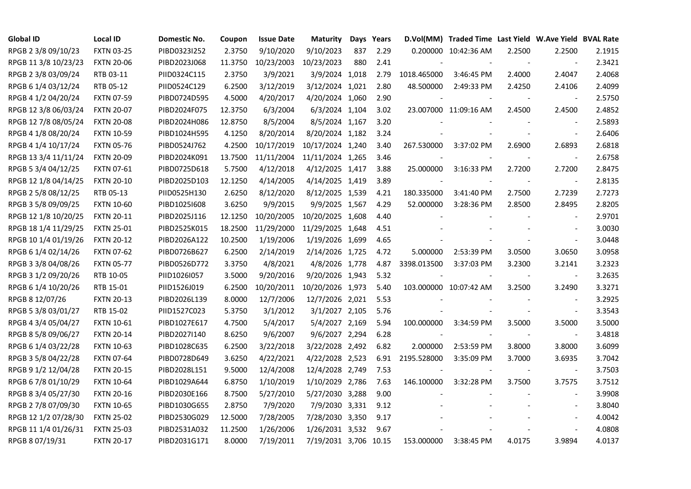| <b>Global ID</b>     | <b>Local ID</b>   | Domestic No. | Coupon  | <b>Issue Date</b> | <b>Maturity</b>       |     | Days Years |             | D.Vol(MM) Traded Time Last Yield W.Ave Yield BVAL Rate |        |                          |        |
|----------------------|-------------------|--------------|---------|-------------------|-----------------------|-----|------------|-------------|--------------------------------------------------------|--------|--------------------------|--------|
| RPGB 2 3/8 09/10/23  | <b>FXTN 03-25</b> | PIBD0323I252 | 2.3750  | 9/10/2020         | 9/10/2023             | 837 | 2.29       |             | 0.200000 10:42:36 AM                                   | 2.2500 | 2.2500                   | 2.1915 |
| RPGB 11 3/8 10/23/23 | <b>FXTN 20-06</b> | PIBD2023J068 | 11.3750 | 10/23/2003        | 10/23/2023            | 880 | 2.41       |             |                                                        |        | $\sim$                   | 2.3421 |
| RPGB 2 3/8 03/09/24  | RTB 03-11         | PIID0324C115 | 2.3750  | 3/9/2021          | 3/9/2024 1,018        |     | 2.79       | 1018.465000 | 3:46:45 PM                                             | 2.4000 | 2.4047                   | 2.4068 |
| RPGB 6 1/4 03/12/24  | RTB 05-12         | PIID0524C129 | 6.2500  | 3/12/2019         | 3/12/2024 1,021       |     | 2.80       | 48.500000   | 2:49:33 PM                                             | 2.4250 | 2.4106                   | 2.4099 |
| RPGB 4 1/2 04/20/24  | <b>FXTN 07-59</b> | PIBD0724D595 | 4.5000  | 4/20/2017         | 4/20/2024 1,060       |     | 2.90       |             |                                                        |        | $\overline{\phantom{a}}$ | 2.5750 |
| RPGB 12 3/8 06/03/24 | <b>FXTN 20-07</b> | PIBD2024F075 | 12.3750 | 6/3/2004          | 6/3/2024 1,104        |     | 3.02       |             | 23.007000 11:09:16 AM                                  | 2.4500 | 2.4500                   | 2.4852 |
| RPGB 12 7/8 08/05/24 | <b>FXTN 20-08</b> | PIBD2024H086 | 12.8750 | 8/5/2004          | 8/5/2024 1,167        |     | 3.20       |             |                                                        |        | $\overline{\phantom{a}}$ | 2.5893 |
| RPGB 4 1/8 08/20/24  | <b>FXTN 10-59</b> | PIBD1024H595 | 4.1250  | 8/20/2014         | 8/20/2024 1,182       |     | 3.24       |             |                                                        |        | $\blacksquare$           | 2.6406 |
| RPGB 4 1/4 10/17/24  | <b>FXTN 05-76</b> | PIBD0524J762 | 4.2500  | 10/17/2019        | 10/17/2024 1,240      |     | 3.40       | 267.530000  | 3:37:02 PM                                             | 2.6900 | 2.6893                   | 2.6818 |
| RPGB 13 3/4 11/11/24 | <b>FXTN 20-09</b> | PIBD2024K091 | 13.7500 | 11/11/2004        | 11/11/2024 1,265      |     | 3.46       |             |                                                        |        | $\overline{\phantom{a}}$ | 2.6758 |
| RPGB 5 3/4 04/12/25  | FXTN 07-61        | PIBD0725D618 | 5.7500  | 4/12/2018         | 4/12/2025 1,417       |     | 3.88       | 25.000000   | 3:16:33 PM                                             | 2.7200 | 2.7200                   | 2.8475 |
| RPGB 12 1/8 04/14/25 | <b>FXTN 20-10</b> | PIBD2025D103 | 12.1250 | 4/14/2005         | 4/14/2025 1,419       |     | 3.89       |             |                                                        |        | $\blacksquare$           | 2.8135 |
| RPGB 2 5/8 08/12/25  | RTB 05-13         | PIID0525H130 | 2.6250  | 8/12/2020         | 8/12/2025 1,539       |     | 4.21       | 180.335000  | 3:41:40 PM                                             | 2.7500 | 2.7239                   | 2.7273 |
| RPGB 3 5/8 09/09/25  | <b>FXTN 10-60</b> | PIBD10251608 | 3.6250  | 9/9/2015          | 9/9/2025 1,567        |     | 4.29       | 52.000000   | 3:28:36 PM                                             | 2.8500 | 2.8495                   | 2.8205 |
| RPGB 12 1/8 10/20/25 | <b>FXTN 20-11</b> | PIBD2025J116 | 12.1250 | 10/20/2005        | 10/20/2025 1,608      |     | 4.40       |             |                                                        |        | $\blacksquare$           | 2.9701 |
| RPGB 18 1/4 11/29/25 | <b>FXTN 25-01</b> | PIBD2525K015 | 18.2500 | 11/29/2000        | 11/29/2025 1,648      |     | 4.51       |             |                                                        |        | $\overline{\phantom{a}}$ | 3.0030 |
| RPGB 10 1/4 01/19/26 | <b>FXTN 20-12</b> | PIBD2026A122 | 10.2500 | 1/19/2006         | 1/19/2026 1,699       |     | 4.65       |             |                                                        |        | $\blacksquare$           | 3.0448 |
| RPGB 6 1/4 02/14/26  | <b>FXTN 07-62</b> | PIBD0726B627 | 6.2500  | 2/14/2019         | 2/14/2026 1,725       |     | 4.72       | 5.000000    | 2:53:39 PM                                             | 3.0500 | 3.0650                   | 3.0958 |
| RPGB 3 3/8 04/08/26  | <b>FXTN 05-77</b> | PIBD0526D772 | 3.3750  | 4/8/2021          | 4/8/2026 1,778        |     | 4.87       | 3398.013500 | 3:37:03 PM                                             | 3.2300 | 3.2141                   | 3.2323 |
| RPGB 3 1/2 09/20/26  | RTB 10-05         | PIID1026I057 | 3.5000  | 9/20/2016         | 9/20/2026 1,943       |     | 5.32       |             |                                                        |        |                          | 3.2635 |
| RPGB 6 1/4 10/20/26  | RTB 15-01         | PIID1526J019 | 6.2500  | 10/20/2011        | 10/20/2026 1,973      |     | 5.40       |             | 103.000000 10:07:42 AM                                 | 3.2500 | 3.2490                   | 3.3271 |
| RPGB 8 12/07/26      | <b>FXTN 20-13</b> | PIBD2026L139 | 8.0000  | 12/7/2006         | 12/7/2026 2,021       |     | 5.53       |             |                                                        |        | $\overline{\phantom{a}}$ | 3.2925 |
| RPGB 5 3/8 03/01/27  | RTB 15-02         | PIID1527C023 | 5.3750  | 3/1/2012          | 3/1/2027 2,105        |     | 5.76       |             |                                                        |        | $\blacksquare$           | 3.3543 |
| RPGB 4 3/4 05/04/27  | <b>FXTN 10-61</b> | PIBD1027E617 | 4.7500  | 5/4/2017          | 5/4/2027 2,169        |     | 5.94       | 100.000000  | 3:34:59 PM                                             | 3.5000 | 3.5000                   | 3.5000 |
| RPGB 8 5/8 09/06/27  | <b>FXTN 20-14</b> | PIBD2027I140 | 8.6250  | 9/6/2007          | 9/6/2027 2,294        |     | 6.28       |             |                                                        |        | $\blacksquare$           | 3.4818 |
| RPGB 6 1/4 03/22/28  | <b>FXTN 10-63</b> | PIBD1028C635 | 6.2500  | 3/22/2018         | 3/22/2028 2,492       |     | 6.82       | 2.000000    | 2:53:59 PM                                             | 3.8000 | 3.8000                   | 3.6099 |
| RPGB 3 5/8 04/22/28  | <b>FXTN 07-64</b> | PIBD0728D649 | 3.6250  | 4/22/2021         | 4/22/2028 2,523       |     | 6.91       | 2195.528000 | 3:35:09 PM                                             | 3.7000 | 3.6935                   | 3.7042 |
| RPGB 9 1/2 12/04/28  | <b>FXTN 20-15</b> | PIBD2028L151 | 9.5000  | 12/4/2008         | 12/4/2028 2,749       |     | 7.53       |             |                                                        |        | $\blacksquare$           | 3.7503 |
| RPGB 6 7/8 01/10/29  | <b>FXTN 10-64</b> | PIBD1029A644 | 6.8750  | 1/10/2019         | 1/10/2029 2,786       |     | 7.63       | 146.100000  | 3:32:28 PM                                             | 3.7500 | 3.7575                   | 3.7512 |
| RPGB 8 3/4 05/27/30  | <b>FXTN 20-16</b> | PIBD2030E166 | 8.7500  | 5/27/2010         | 5/27/2030 3,288       |     | 9.00       |             |                                                        |        |                          | 3.9908 |
| RPGB 2 7/8 07/09/30  | <b>FXTN 10-65</b> | PIBD1030G655 | 2.8750  | 7/9/2020          | 7/9/2030 3,331        |     | 9.12       |             |                                                        |        | $\blacksquare$           | 3.8040 |
| RPGB 12 1/2 07/28/30 | <b>FXTN 25-02</b> | PIBD2530G029 | 12.5000 | 7/28/2005         | 7/28/2030 3,350       |     | 9.17       |             |                                                        |        | $\overline{\phantom{a}}$ | 4.0042 |
| RPGB 11 1/4 01/26/31 | <b>FXTN 25-03</b> | PIBD2531A032 | 11.2500 | 1/26/2006         | 1/26/2031 3,532       |     | 9.67       |             |                                                        |        | $\sim$                   | 4.0808 |
| RPGB 8 07/19/31      | <b>FXTN 20-17</b> | PIBD2031G171 | 8.0000  | 7/19/2011         | 7/19/2031 3,706 10.15 |     |            | 153.000000  | 3:38:45 PM                                             | 4.0175 | 3.9894                   | 4.0137 |